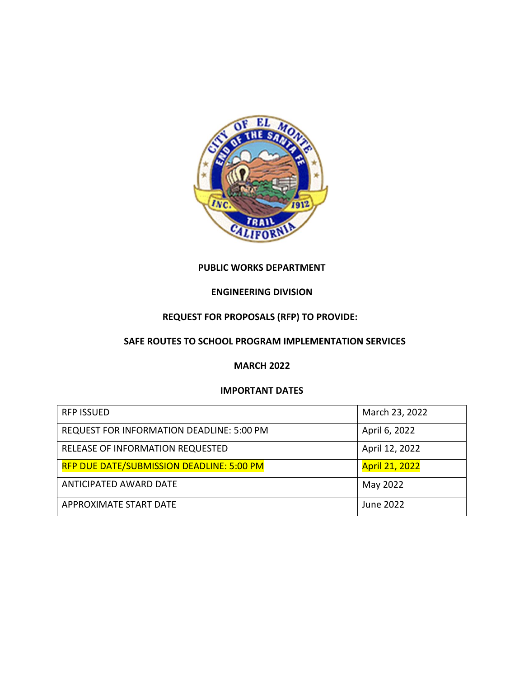

### **PUBLIC WORKS DEPARTMENT**

### **ENGINEERING DIVISION**

# **REQUEST FOR PROPOSALS (RFP) TO PROVIDE:**

## **SAFE ROUTES TO SCHOOL PROGRAM IMPLEMENTATION SERVICES**

#### **MARCH 2022**

#### **IMPORTANT DATES**

| <b>RFP ISSUED</b>                                | March 23, 2022        |
|--------------------------------------------------|-----------------------|
| REQUEST FOR INFORMATION DEADLINE: 5:00 PM        | April 6, 2022         |
| RELEASE OF INFORMATION REQUESTED                 | April 12, 2022        |
| <b>RFP DUE DATE/SUBMISSION DEADLINE: 5:00 PM</b> | <b>April 21, 2022</b> |
| ANTICIPATED AWARD DATE                           | May 2022              |
| APPROXIMATE START DATE                           | June 2022             |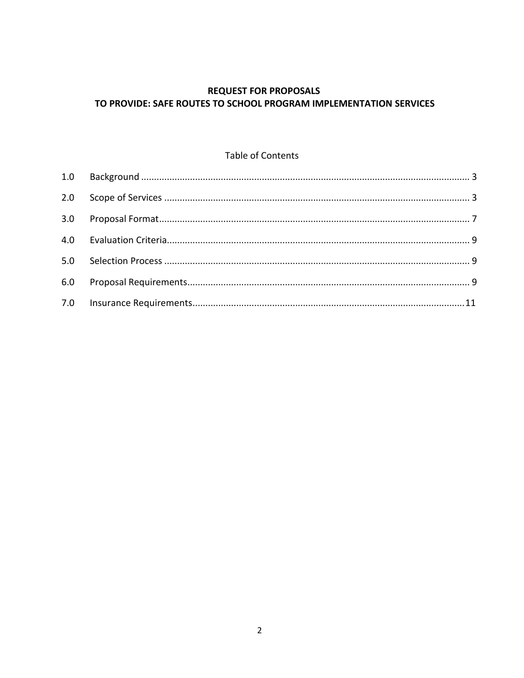# **REQUEST FOR PROPOSALS** TO PROVIDE: SAFE ROUTES TO SCHOOL PROGRAM IMPLEMENTATION SERVICES

### Table of Contents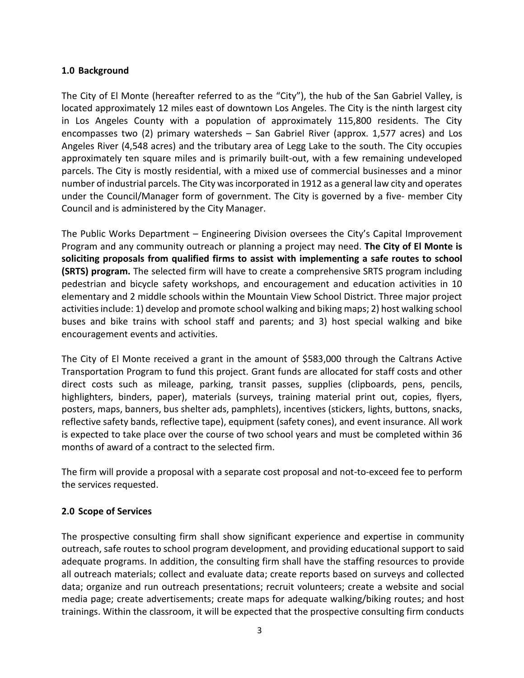## <span id="page-2-0"></span>**1.0 Background**

The City of El Monte (hereafter referred to as the "City"), the hub of the San Gabriel Valley, is located approximately 12 miles east of downtown Los Angeles. The City is the ninth largest city in Los Angeles County with a population of approximately 115,800 residents. The City encompasses two (2) primary watersheds – San Gabriel River (approx. 1,577 acres) and Los Angeles River (4,548 acres) and the tributary area of Legg Lake to the south. The City occupies approximately ten square miles and is primarily built-out, with a few remaining undeveloped parcels. The City is mostly residential, with a mixed use of commercial businesses and a minor number of industrial parcels. The City was incorporated in 1912 as a general law city and operates under the Council/Manager form of government. The City is governed by a five- member City Council and is administered by the City Manager.

The Public Works Department – Engineering Division oversees the City's Capital Improvement Program and any community outreach or planning a project may need. **The City of El Monte is soliciting proposals from qualified firms to assist with implementing a safe routes to school (SRTS) program.** The selected firm will have to create a comprehensive SRTS program including pedestrian and bicycle safety workshops, and encouragement and education activities in 10 elementary and 2 middle schools within the Mountain View School District. Three major project activities include: 1) develop and promote school walking and biking maps; 2) host walking school buses and bike trains with school staff and parents; and 3) host special walking and bike encouragement events and activities.

The City of El Monte received a grant in the amount of \$583,000 through the Caltrans Active Transportation Program to fund this project. Grant funds are allocated for staff costs and other direct costs such as mileage, parking, transit passes, supplies (clipboards, pens, pencils, highlighters, binders, paper), materials (surveys, training material print out, copies, flyers, posters, maps, banners, bus shelter ads, pamphlets), incentives (stickers, lights, buttons, snacks, reflective safety bands, reflective tape), equipment (safety cones), and event insurance. All work is expected to take place over the course of two school years and must be completed within 36 months of award of a contract to the selected firm.

The firm will provide a proposal with a separate cost proposal and not-to-exceed fee to perform the services requested.

### <span id="page-2-1"></span>**2.0 Scope of Services**

The prospective consulting firm shall show significant experience and expertise in community outreach, safe routes to school program development, and providing educational support to said adequate programs. In addition, the consulting firm shall have the staffing resources to provide all outreach materials; collect and evaluate data; create reports based on surveys and collected data; organize and run outreach presentations; recruit volunteers; create a website and social media page; create advertisements; create maps for adequate walking/biking routes; and host trainings. Within the classroom, it will be expected that the prospective consulting firm conducts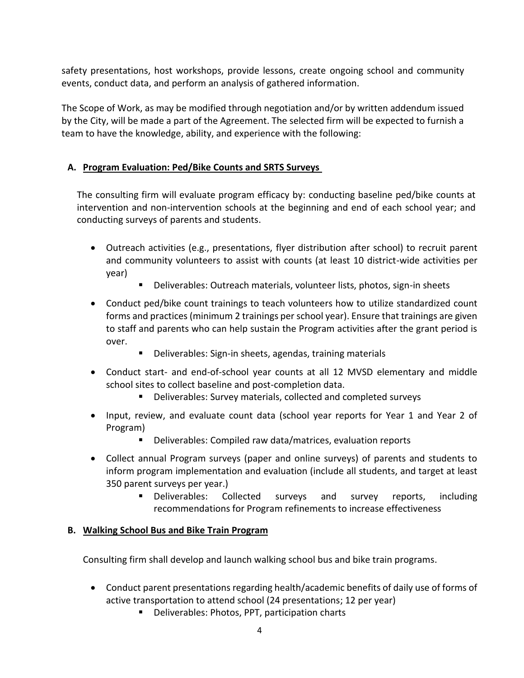safety presentations, host workshops, provide lessons, create ongoing school and community events, conduct data, and perform an analysis of gathered information.

The Scope of Work, as may be modified through negotiation and/or by written addendum issued by the City, will be made a part of the Agreement. The selected firm will be expected to furnish a team to have the knowledge, ability, and experience with the following:

## **A. Program Evaluation: Ped/Bike Counts and SRTS Surveys**

The consulting firm will evaluate program efficacy by: conducting baseline ped/bike counts at intervention and non-intervention schools at the beginning and end of each school year; and conducting surveys of parents and students.

- Outreach activities (e.g., presentations, flyer distribution after school) to recruit parent and community volunteers to assist with counts (at least 10 district-wide activities per year)
	- Deliverables: Outreach materials, volunteer lists, photos, sign-in sheets
- Conduct ped/bike count trainings to teach volunteers how to utilize standardized count forms and practices (minimum 2 trainings per school year). Ensure that trainings are given to staff and parents who can help sustain the Program activities after the grant period is over.
	- Deliverables: Sign-in sheets, agendas, training materials
- Conduct start- and end-of-school year counts at all 12 MVSD elementary and middle school sites to collect baseline and post-completion data.
	- Deliverables: Survey materials, collected and completed surveys
- Input, review, and evaluate count data (school year reports for Year 1 and Year 2 of Program)
	- Deliverables: Compiled raw data/matrices, evaluation reports
- Collect annual Program surveys (paper and online surveys) of parents and students to inform program implementation and evaluation (include all students, and target at least 350 parent surveys per year.)
	- Deliverables: Collected surveys and survey reports, including recommendations for Program refinements to increase effectiveness

### **B. Walking School Bus and Bike Train Program**

Consulting firm shall develop and launch walking school bus and bike train programs.

- Conduct parent presentations regarding health/academic benefits of daily use of forms of active transportation to attend school (24 presentations; 12 per year)
	- Deliverables: Photos, PPT, participation charts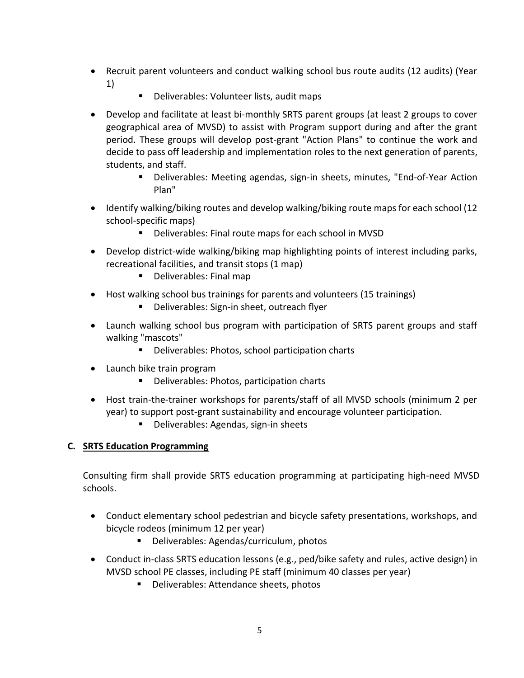- Recruit parent volunteers and conduct walking school bus route audits (12 audits) (Year 1)
	- Deliverables: Volunteer lists, audit maps
- Develop and facilitate at least bi-monthly SRTS parent groups (at least 2 groups to cover geographical area of MVSD) to assist with Program support during and after the grant period. These groups will develop post-grant "Action Plans" to continue the work and decide to pass off leadership and implementation roles to the next generation of parents, students, and staff.
	- Deliverables: Meeting agendas, sign-in sheets, minutes, "End-of-Year Action Plan"
- Identify walking/biking routes and develop walking/biking route maps for each school (12 school-specific maps)
	- Deliverables: Final route maps for each school in MVSD
- Develop district-wide walking/biking map highlighting points of interest including parks, recreational facilities, and transit stops (1 map)
	- Deliverables: Final map
- Host walking school bus trainings for parents and volunteers (15 trainings)
	- Deliverables: Sign-in sheet, outreach flyer
- Launch walking school bus program with participation of SRTS parent groups and staff walking "mascots"
	- Deliverables: Photos, school participation charts
- Launch bike train program
	- Deliverables: Photos, participation charts
- Host train-the-trainer workshops for parents/staff of all MVSD schools (minimum 2 per year) to support post-grant sustainability and encourage volunteer participation.
	- Deliverables: Agendas, sign-in sheets

## **C. SRTS Education Programming**

Consulting firm shall provide SRTS education programming at participating high-need MVSD schools.

- Conduct elementary school pedestrian and bicycle safety presentations, workshops, and bicycle rodeos (minimum 12 per year)
	- Deliverables: Agendas/curriculum, photos
- Conduct in-class SRTS education lessons (e.g., ped/bike safety and rules, active design) in MVSD school PE classes, including PE staff (minimum 40 classes per year)
	- Deliverables: Attendance sheets, photos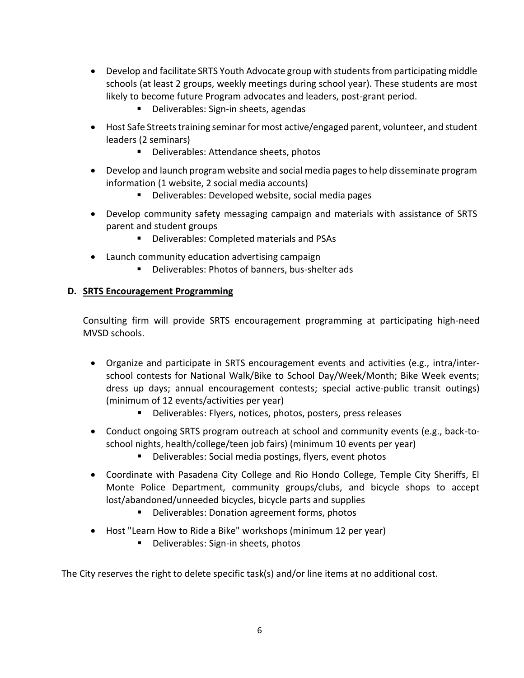- Develop and facilitate SRTS Youth Advocate group with students from participating middle schools (at least 2 groups, weekly meetings during school year). These students are most likely to become future Program advocates and leaders, post-grant period.
	- Deliverables: Sign-in sheets, agendas
- Host Safe Streets training seminar for most active/engaged parent, volunteer, and student leaders (2 seminars)
	- Deliverables: Attendance sheets, photos
- Develop and launch program website and social media pages to help disseminate program information (1 website, 2 social media accounts)
	- Deliverables: Developed website, social media pages
- Develop community safety messaging campaign and materials with assistance of SRTS parent and student groups
	- Deliverables: Completed materials and PSAs
- Launch community education advertising campaign
	- Deliverables: Photos of banners, bus-shelter ads

## **D. SRTS Encouragement Programming**

Consulting firm will provide SRTS encouragement programming at participating high-need MVSD schools.

- Organize and participate in SRTS encouragement events and activities (e.g., intra/interschool contests for National Walk/Bike to School Day/Week/Month; Bike Week events; dress up days; annual encouragement contests; special active-public transit outings) (minimum of 12 events/activities per year)
	- Deliverables: Flyers, notices, photos, posters, press releases
- Conduct ongoing SRTS program outreach at school and community events (e.g., back-toschool nights, health/college/teen job fairs) (minimum 10 events per year)
	- Deliverables: Social media postings, flyers, event photos
- Coordinate with Pasadena City College and Rio Hondo College, Temple City Sheriffs, El Monte Police Department, community groups/clubs, and bicycle shops to accept lost/abandoned/unneeded bicycles, bicycle parts and supplies
	- Deliverables: Donation agreement forms, photos
- Host "Learn How to Ride a Bike" workshops (minimum 12 per year)
	- Deliverables: Sign-in sheets, photos

The City reserves the right to delete specific task(s) and/or line items at no additional cost.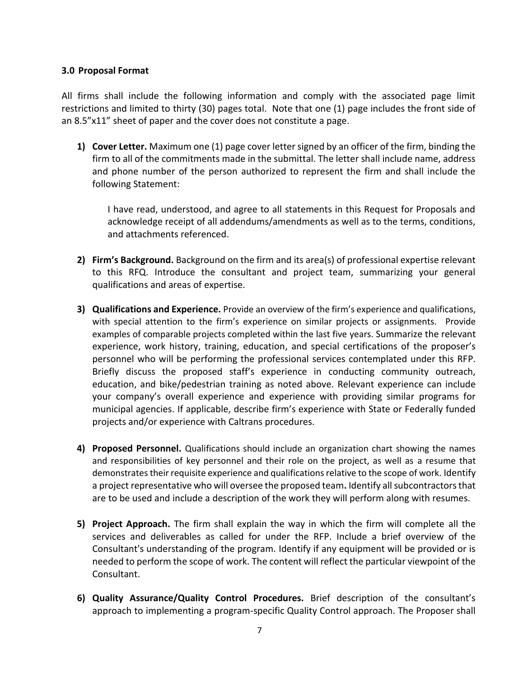### <span id="page-6-0"></span>**3.0 Proposal Format**

All firms shall include the following information and comply with the associated page limit restrictions and limited to thirty (30) pages total. Note that one (1) page includes the front side of an 8.5"x11" sheet of paper and the cover does not constitute a page.

**1) Cover Letter.** Maximum one (1) page cover letter signed by an officer of the firm, binding the firm to all of the commitments made in the submittal. The letter shall include name, address and phone number of the person authorized to represent the firm and shall include the following Statement:

I have read, understood, and agree to all statements in this Request for Proposals and acknowledge receipt of all addendums/amendments as well as to the terms, conditions, and attachments referenced.

- **2) Firm's Background.** Background on the firm and its area(s) of professional expertise relevant to this RFQ. Introduce the consultant and project team, summarizing your general qualifications and areas of expertise.
- **3) Qualifications and Experience.** Provide an overview of the firm's experience and qualifications, with special attention to the firm's experience on similar projects or assignments.Provide examples of comparable projects completed within the last five years. Summarize the relevant experience, work history, training, education, and special certifications of the proposer's personnel who will be performing the professional services contemplated under this RFP. Briefly discuss the proposed staff's experience in conducting community outreach, education, and bike/pedestrian training as noted above. Relevant experience can include your company's overall experience and experience with providing similar programs for municipal agencies. If applicable, describe firm's experience with State or Federally funded projects and/or experience with Caltrans procedures.
- **4) Proposed Personnel.** Qualifications should include an organization chart showing the names and responsibilities of key personnel and their role on the project, as well as a resume that demonstrates their requisite experience and qualifications relative to the scope of work. Identify a project representative who will oversee the proposed team**.** Identify all subcontractors that are to be used and include a description of the work they will perform along with resumes.
- **5) Project Approach.** The firm shall explain the way in which the firm will complete all the services and deliverables as called for under the RFP. Include a brief overview of the Consultant's understanding of the program. Identify if any equipment will be provided or is needed to perform the scope of work. The content will reflect the particular viewpoint of the Consultant.
- **6) Quality Assurance/Quality Control Procedures.** Brief description of the consultant's approach to implementing a program-specific Quality Control approach. The Proposer shall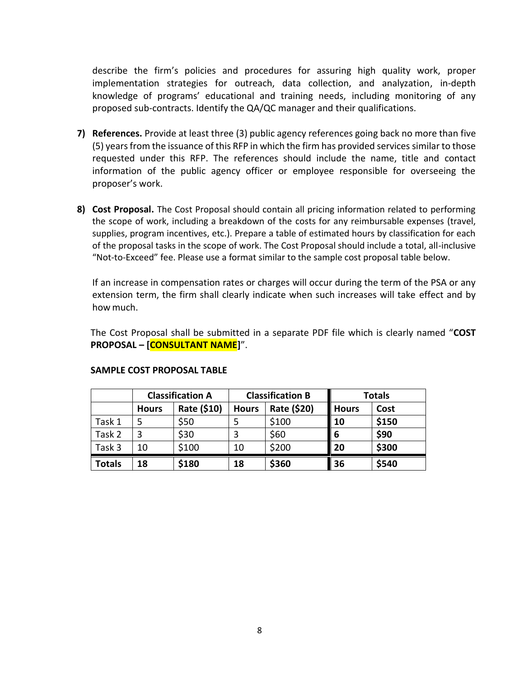describe the firm's policies and procedures for assuring high quality work, proper implementation strategies for outreach, data collection, and analyzation, in-depth knowledge of programs' educational and training needs, including monitoring of any proposed sub-contracts. Identify the QA/QC manager and their qualifications.

- **7) References.** Provide at least three (3) public agency references going back no more than five (5) years from the issuance of this RFP in which the firm has provided services similar to those requested under this RFP. The references should include the name, title and contact information of the public agency officer or employee responsible for overseeing the proposer's work.
- **8) Cost Proposal.** The Cost Proposal should contain all pricing information related to performing the scope of work, including a breakdown of the costs for any reimbursable expenses (travel, supplies, program incentives, etc.). Prepare a table of estimated hours by classification for each of the proposal tasks in the scope of work. The Cost Proposal should include a total, all-inclusive "Not-to-Exceed" fee. Please use a format similar to the sample cost proposal table below.

If an increase in compensation rates or charges will occur during the term of the PSA or any extension term, the firm shall clearly indicate when such increases will take effect and by how much.

The Cost Proposal shall be submitted in a separate PDF file which is clearly named "**COST PROPOSAL – [CONSULTANT NAME]**".

|               | <b>Classification A</b> |             | <b>Classification B</b> |             | <b>Totals</b> |       |
|---------------|-------------------------|-------------|-------------------------|-------------|---------------|-------|
|               | <b>Hours</b>            | Rate (\$10) | <b>Hours</b>            | Rate (\$20) | <b>Hours</b>  | Cost  |
| Task 1        |                         | \$50        |                         | \$100       | 10            | \$150 |
| Task 2        |                         | \$30        |                         | \$60        | 6             | \$90  |
| Task 3        | 10                      | \$100       | 10                      | \$200       | 20            | \$300 |
| <b>Totals</b> | 18                      | \$180       | 18                      | \$360       | 36            | \$540 |

#### **SAMPLE COST PROPOSAL TABLE**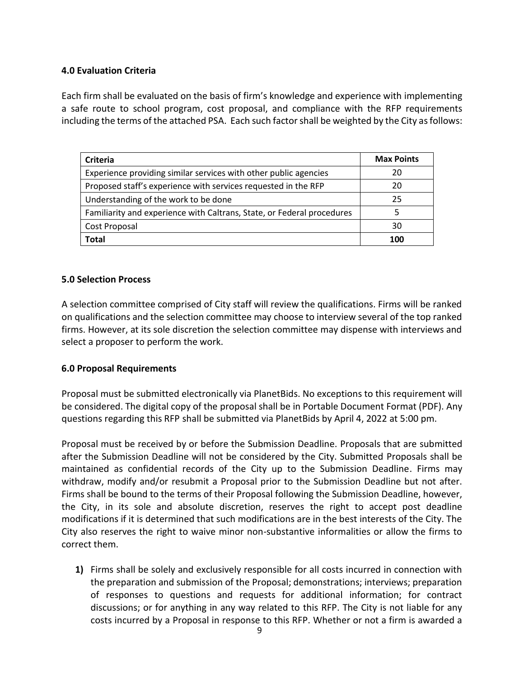## <span id="page-8-0"></span>**4.0 Evaluation Criteria**

Each firm shall be evaluated on the basis of firm's knowledge and experience with implementing a safe route to school program, cost proposal, and compliance with the RFP requirements including the terms of the attached PSA. Each such factor shall be weighted by the City as follows:

| Criteria                                                               | <b>Max Points</b> |
|------------------------------------------------------------------------|-------------------|
| Experience providing similar services with other public agencies       | 20                |
| Proposed staff's experience with services requested in the RFP         | 20                |
| Understanding of the work to be done                                   | 25                |
| Familiarity and experience with Caltrans, State, or Federal procedures |                   |
| Cost Proposal                                                          | 30                |
| Total                                                                  | 100               |

### <span id="page-8-1"></span>**5.0 Selection Process**

A selection committee comprised of City staff will review the qualifications. Firms will be ranked on qualifications and the selection committee may choose to interview several of the top ranked firms. However, at its sole discretion the selection committee may dispense with interviews and select a proposer to perform the work.

### <span id="page-8-2"></span>**6.0 Proposal Requirements**

Proposal must be submitted electronically via PlanetBids. No exceptions to this requirement will be considered. The digital copy of the proposal shall be in Portable Document Format (PDF). Any questions regarding this RFP shall be submitted via PlanetBids by April 4, 2022 at 5:00 pm.

Proposal must be received by or before the Submission Deadline. Proposals that are submitted after the Submission Deadline will not be considered by the City. Submitted Proposals shall be maintained as confidential records of the City up to the Submission Deadline. Firms may withdraw, modify and/or resubmit a Proposal prior to the Submission Deadline but not after. Firms shall be bound to the terms of their Proposal following the Submission Deadline, however, the City, in its sole and absolute discretion, reserves the right to accept post deadline modifications if it is determined that such modifications are in the best interests of the City. The City also reserves the right to waive minor non-substantive informalities or allow the firms to correct them.

**1)** Firms shall be solely and exclusively responsible for all costs incurred in connection with the preparation and submission of the Proposal; demonstrations; interviews; preparation of responses to questions and requests for additional information; for contract discussions; or for anything in any way related to this RFP. The City is not liable for any costs incurred by a Proposal in response to this RFP. Whether or not a firm is awarded a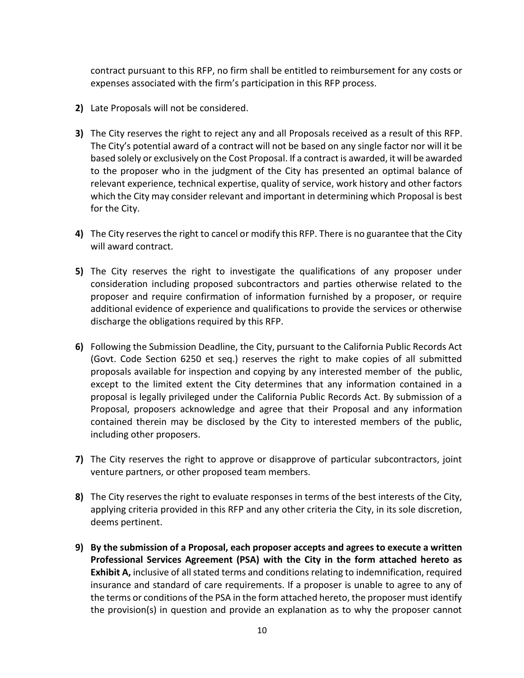contract pursuant to this RFP, no firm shall be entitled to reimbursement for any costs or expenses associated with the firm's participation in this RFP process.

- **2)** Late Proposals will not be considered.
- **3)** The City reserves the right to reject any and all Proposals received as a result of this RFP. The City's potential award of a contract will not be based on any single factor nor will it be based solely or exclusively on the Cost Proposal. If a contract is awarded, it will be awarded to the proposer who in the judgment of the City has presented an optimal balance of relevant experience, technical expertise, quality of service, work history and other factors which the City may consider relevant and important in determining which Proposal is best for the City.
- **4)** The City reserves the right to cancel or modify this RFP. There is no guarantee that the City will award contract.
- **5)** The City reserves the right to investigate the qualifications of any proposer under consideration including proposed subcontractors and parties otherwise related to the proposer and require confirmation of information furnished by a proposer, or require additional evidence of experience and qualifications to provide the services or otherwise discharge the obligations required by this RFP.
- **6)** Following the Submission Deadline, the City, pursuant to the California Public Records Act (Govt. Code Section 6250 et seq.) reserves the right to make copies of all submitted proposals available for inspection and copying by any interested member of the public, except to the limited extent the City determines that any information contained in a proposal is legally privileged under the California Public Records Act. By submission of a Proposal, proposers acknowledge and agree that their Proposal and any information contained therein may be disclosed by the City to interested members of the public, including other proposers.
- **7)** The City reserves the right to approve or disapprove of particular subcontractors, joint venture partners, or other proposed team members.
- **8)** The City reserves the right to evaluate responses in terms of the best interests of the City, applying criteria provided in this RFP and any other criteria the City, in its sole discretion, deems pertinent.
- **9) By the submission of a Proposal, each proposer accepts and agrees to execute a written Professional Services Agreement (PSA) with the City in the form attached hereto as Exhibit A,** inclusive of all stated terms and conditions relating to indemnification, required insurance and standard of care requirements. If a proposer is unable to agree to any of the terms or conditions of the PSA in the form attached hereto, the proposer must identify the provision(s) in question and provide an explanation as to why the proposer cannot